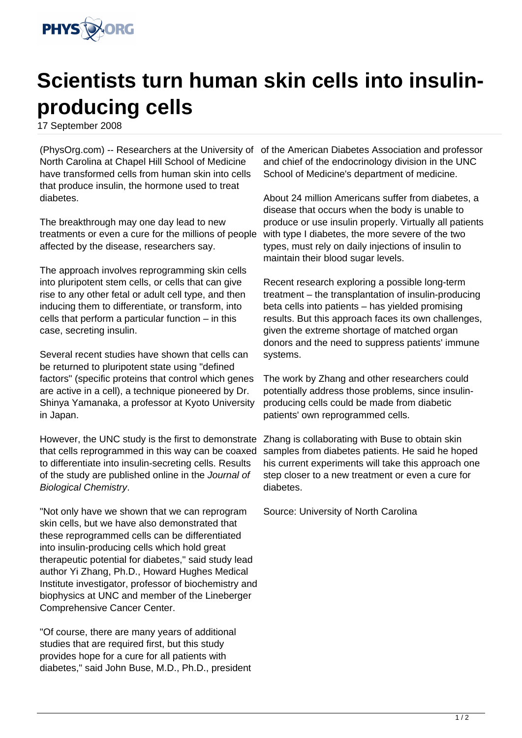

## **Scientists turn human skin cells into insulinproducing cells**

17 September 2008

North Carolina at Chapel Hill School of Medicine have transformed cells from human skin into cells that produce insulin, the hormone used to treat diabetes.

The breakthrough may one day lead to new treatments or even a cure for the millions of people affected by the disease, researchers say.

The approach involves reprogramming skin cells into pluripotent stem cells, or cells that can give rise to any other fetal or adult cell type, and then inducing them to differentiate, or transform, into cells that perform a particular function – in this case, secreting insulin.

Several recent studies have shown that cells can be returned to pluripotent state using "defined factors" (specific proteins that control which genes are active in a cell), a technique pioneered by Dr. Shinya Yamanaka, a professor at Kyoto University in Japan.

However, the UNC study is the first to demonstrate that cells reprogrammed in this way can be coaxed to differentiate into insulin-secreting cells. Results of the study are published online in the Journal of Biological Chemistry.

"Not only have we shown that we can reprogram skin cells, but we have also demonstrated that these reprogrammed cells can be differentiated into insulin-producing cells which hold great therapeutic potential for diabetes," said study lead author Yi Zhang, Ph.D., Howard Hughes Medical Institute investigator, professor of biochemistry and biophysics at UNC and member of the Lineberger Comprehensive Cancer Center.

"Of course, there are many years of additional studies that are required first, but this study provides hope for a cure for all patients with diabetes," said John Buse, M.D., Ph.D., president

(PhysOrg.com) -- Researchers at the University of of the American Diabetes Association and professor and chief of the endocrinology division in the UNC School of Medicine's department of medicine.

> About 24 million Americans suffer from diabetes, a disease that occurs when the body is unable to produce or use insulin properly. Virtually all patients with type I diabetes, the more severe of the two types, must rely on daily injections of insulin to maintain their blood sugar levels.

> Recent research exploring a possible long-term treatment – the transplantation of insulin-producing beta cells into patients – has yielded promising results. But this approach faces its own challenges, given the extreme shortage of matched organ donors and the need to suppress patients' immune systems.

The work by Zhang and other researchers could potentially address those problems, since insulinproducing cells could be made from diabetic patients' own reprogrammed cells.

Zhang is collaborating with Buse to obtain skin samples from diabetes patients. He said he hoped his current experiments will take this approach one step closer to a new treatment or even a cure for diabetes.

Source: University of North Carolina